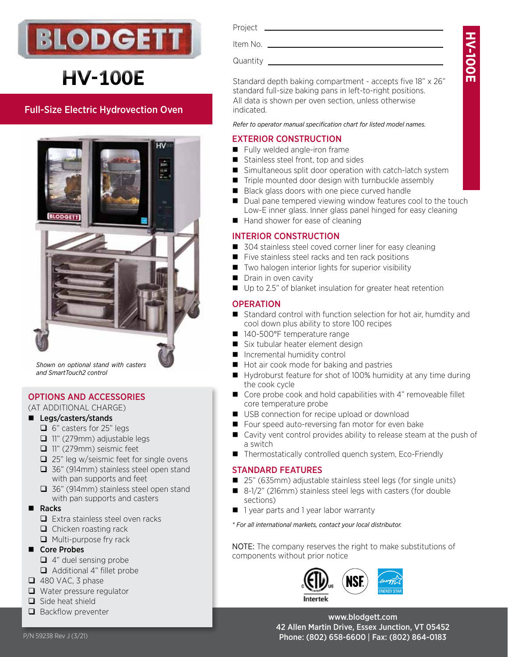

# **HV-100E**

# Full-Size Electric Hydrovection Oven



*Shown on optional stand with casters and SmartTouch2 control*

# OPTIONS AND ACCESSORIES

#### (AT ADDITIONAL CHARGE)

- Legs/casters/stands
	- $\Box$  6" casters for 25" legs
	- 11" (279mm) adjustable legs
	- 11" (279mm) seismic feet
	- $\Box$  25" leg w/seismic feet for single ovens
	- □ 36" (914mm) stainless steel open stand with pan supports and feet
	- □ 36" (914mm) stainless steel open stand with pan supports and casters
- Racks
	- $\Box$  Extra stainless steel oven racks
	- $\Box$  Chicken roasting rack
	- $\Box$  Multi-purpose fry rack
- Core Probes
	- $\Box$  4" duel sensing probe
	- Additional 4" fillet probe
- $\Box$  480 VAC, 3 phase
- $\Box$  Water pressure regulator
- $\Box$  Side heat shield
- $\Box$  Backflow preventer

| Project  |  |
|----------|--|
| Item No. |  |

Quantity

Standard depth baking compartment - accepts five 18" x 26" standard full-size baking pans in left-to-right positions. All data is shown per oven section, unless otherwise indicated.

*Refer to operator manual specification chart for listed model names.*

# EXTERIOR CONSTRUCTION

- Fully welded angle-iron frame
- Stainless steel front, top and sides
- Simultaneous split door operation with catch-latch system
- $\blacksquare$  Triple mounted door design with turnbuckle assembly
- Black glass doors with one piece curved handle
- Dual pane tempered viewing window features cool to the touch Low-E inner glass. Inner glass panel hinged for easy cleaning
- $\blacksquare$  Hand shower for ease of cleaning

# INTERIOR CONSTRUCTION

- 304 stainless steel coved corner liner for easy cleaning
- Five stainless steel racks and ten rack positions
- Two halogen interior lights for superior visibility
- Drain in oven cavity
- Up to 2.5" of blanket insulation for greater heat retention

# **OPERATION**

- Standard control with function selection for hot air, humdity and cool down plus ability to store 100 recipes
- 140-500°F temperature range
- Six tubular heater element design
- **Incremental humidity control**
- Hot air cook mode for baking and pastries
- Hydroburst feature for shot of 100% humidity at any time during the cook cycle
- Core probe cook and hold capabilities with 4" removeable fillet core temperature probe
- USB connection for recipe upload or download
- Four speed auto-reversing fan motor for even bake
- Cavity vent control provides ability to release steam at the push of a switch
- Thermostatically controlled quench system, Eco-Friendly

# STANDARD FEATURES

- 25" (635mm) adjustable stainless steel legs (for single units)
- 8-1/2" (216mm) stainless steel legs with casters (for double sections)
- **1** year parts and 1 year labor warranty

*\* For all international markets, contact your local distributor.*

NOTE: The company reserves the right to make substitutions of components without prior notice



www.blodgett.com 42 Allen Martin Drive, Essex Junction, VT 05452 P/N 59238 Rev J (3/21) 2010 12:00 Phone: (802) 658-6600 | Fax: (802) 864-0183

**HV-100EN-100E**